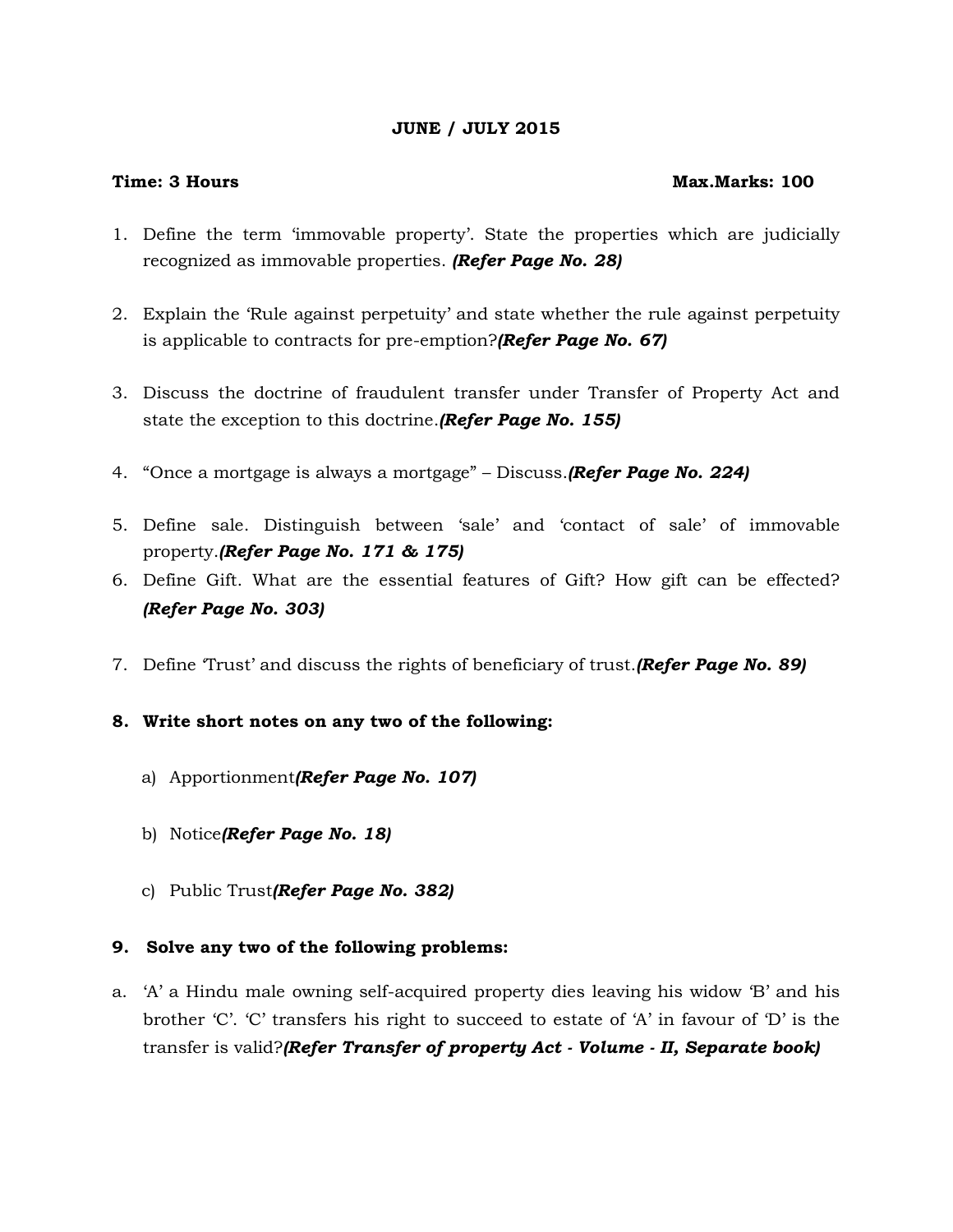# **JUNE / JULY 2015**

## **Time: 3 Hours Max.Marks: 100**

- 1. Define the term 'immovable property'. State the properties which are judicially recognized as immovable properties. *(Refer Page No. 28)*
- 2. Explain the 'Rule against perpetuity' and state whether the rule against perpetuity is applicable to contracts for pre-emption?*(Refer Page No. 67)*
- 3. Discuss the doctrine of fraudulent transfer under Transfer of Property Act and state the exception to this doctrine.*(Refer Page No. 155)*
- 4. "Once a mortgage is always a mortgage" Discuss.*(Refer Page No. 224)*
- 5. Define sale. Distinguish between 'sale' and 'contact of sale' of immovable property.*(Refer Page No. 171 & 175)*
- 6. Define Gift. What are the essential features of Gift? How gift can be effected? *(Refer Page No. 303)*
- 7. Define 'Trust' and discuss the rights of beneficiary of trust.*(Refer Page No. 89)*

# **8. Write short notes on any two of the following:**

- a) Apportionment*(Refer Page No. 107)*
- b) Notice*(Refer Page No. 18)*
- c) Public Trust*(Refer Page No. 382)*

# **9. Solve any two of the following problems:**

a. 'A' a Hindu male owning self-acquired property dies leaving his widow 'B' and his brother 'C'. 'C' transfers his right to succeed to estate of 'A' in favour of 'D' is the transfer is valid?*(Refer Transfer of property Act - Volume - II, Separate book)*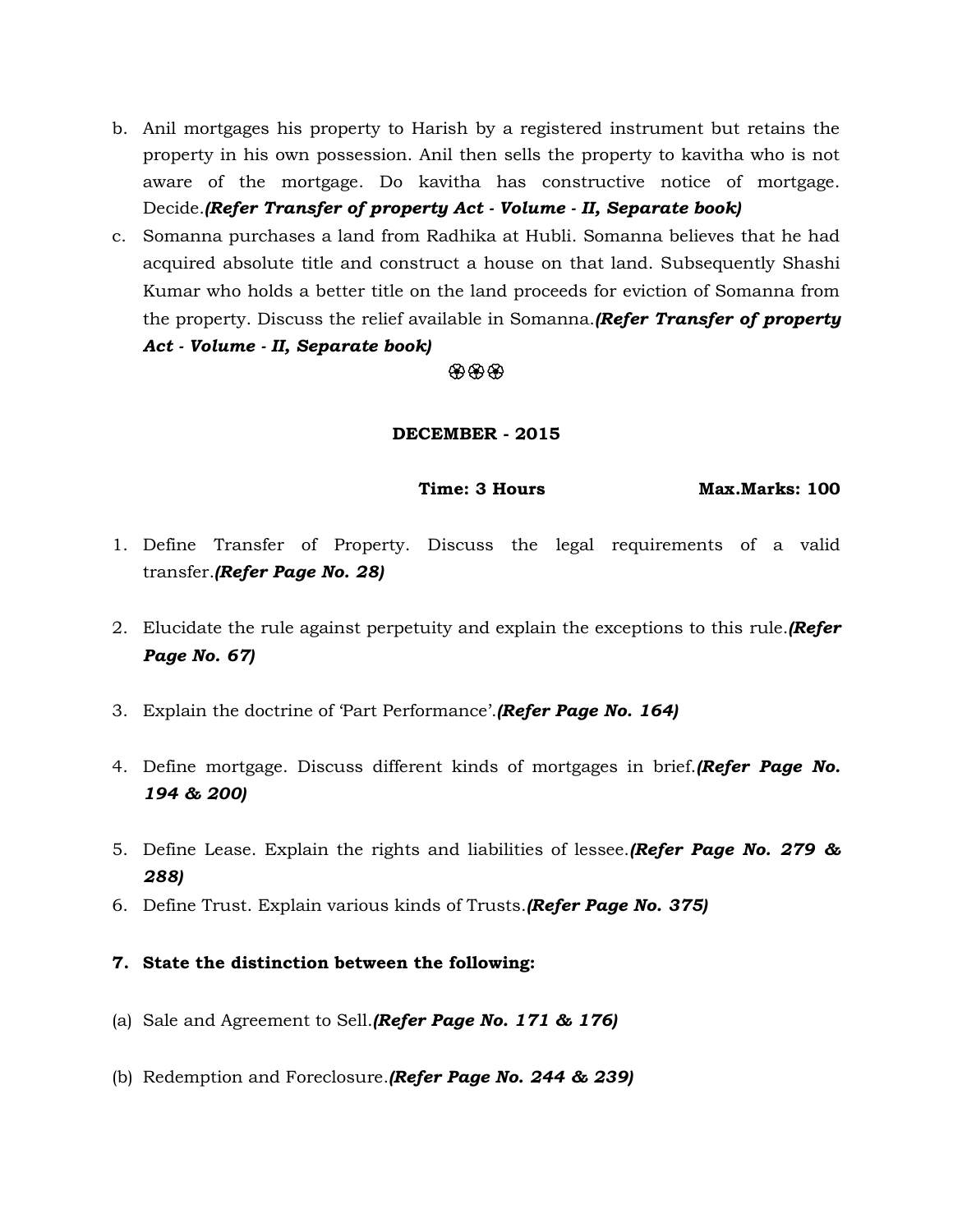- b. Anil mortgages his property to Harish by a registered instrument but retains the property in his own possession. Anil then sells the property to kavitha who is not aware of the mortgage. Do kavitha has constructive notice of mortgage. Decide.*(Refer Transfer of property Act - Volume - II, Separate book)*
- c. Somanna purchases a land from Radhika at Hubli. Somanna believes that he had acquired absolute title and construct a house on that land. Subsequently Shashi Kumar who holds a better title on the land proceeds for eviction of Somanna from the property. Discuss the relief available in Somanna.*(Refer Transfer of property Act - Volume - II, Separate book)*

# $\circledast\circledast\circledast$

## **DECEMBER - 2015**

**Time: 3 Hours Max.Marks: 100**

- 1. Define Transfer of Property. Discuss the legal requirements of a valid transfer.*(Refer Page No. 28)*
- 2. Elucidate the rule against perpetuity and explain the exceptions to this rule.*(Refer Page No. 67)*
- 3. Explain the doctrine of 'Part Performance'.*(Refer Page No. 164)*
- 4. Define mortgage. Discuss different kinds of mortgages in brief.*(Refer Page No. 194 & 200)*
- 5. Define Lease. Explain the rights and liabilities of lessee.*(Refer Page No. 279 & 288)*
- 6. Define Trust. Explain various kinds of Trusts.*(Refer Page No. 375)*
- **7. State the distinction between the following:**
- (a) Sale and Agreement to Sell.*(Refer Page No. 171 & 176)*
- (b) Redemption and Foreclosure.*(Refer Page No. 244 & 239)*